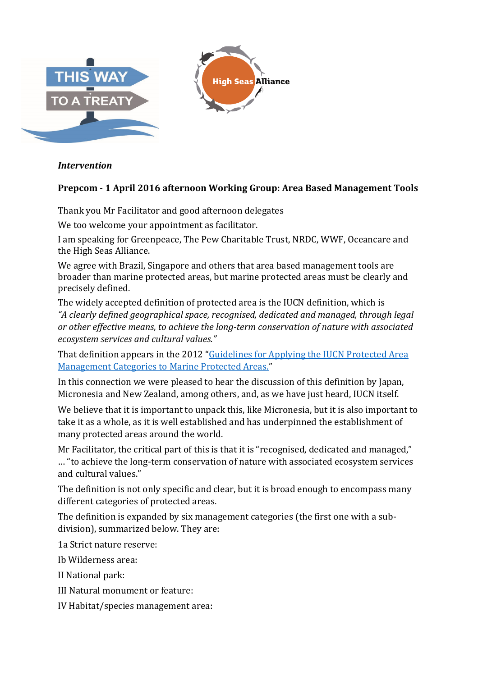

## *Intervention*

## **Prepcom - 1 April 2016 afternoon Working Group: Area Based Management Tools**

Thank you Mr Facilitator and good afternoon delegates

We too welcome your appointment as facilitator.

I am speaking for Greenpeace, The Pew Charitable Trust, NRDC, WWF, Oceancare and the High Seas Alliance.

We agree with Brazil, Singapore and others that area based management tools are broader than marine protected areas, but marine protected areas must be clearly and precisely defined.

The widely accepted definition of protected area is the IUCN definition, which is *"A clearly defined geographical space, recognised, dedicated and managed, through legal or other effective means, to achieve the long-term conservation of nature with associated ecosystem services and cultural values."*

That definition appears in the 2012 "Guidelines for Applying the IUCN Protected Area Management Categories to Marine Protected Areas."

In this connection we were pleased to hear the discussion of this definition by Japan, Micronesia and New Zealand, among others, and, as we have just heard, IUCN itself.

We believe that it is important to unpack this, like Micronesia, but it is also important to take it as a whole, as it is well established and has underpinned the establishment of many protected areas around the world.

Mr Facilitator, the critical part of this is that it is "recognised, dedicated and managed," … "to achieve the long-term conservation of nature with associated ecosystem services and cultural values."

The definition is not only specific and clear, but it is broad enough to encompass many different categories of protected areas.

The definition is expanded by six management categories (the first one with a subdivision), summarized below. They are:

1a Strict nature reserve:

Ib Wilderness area:

II National park:

- III Natural monument or feature:
- IV Habitat/species management area: